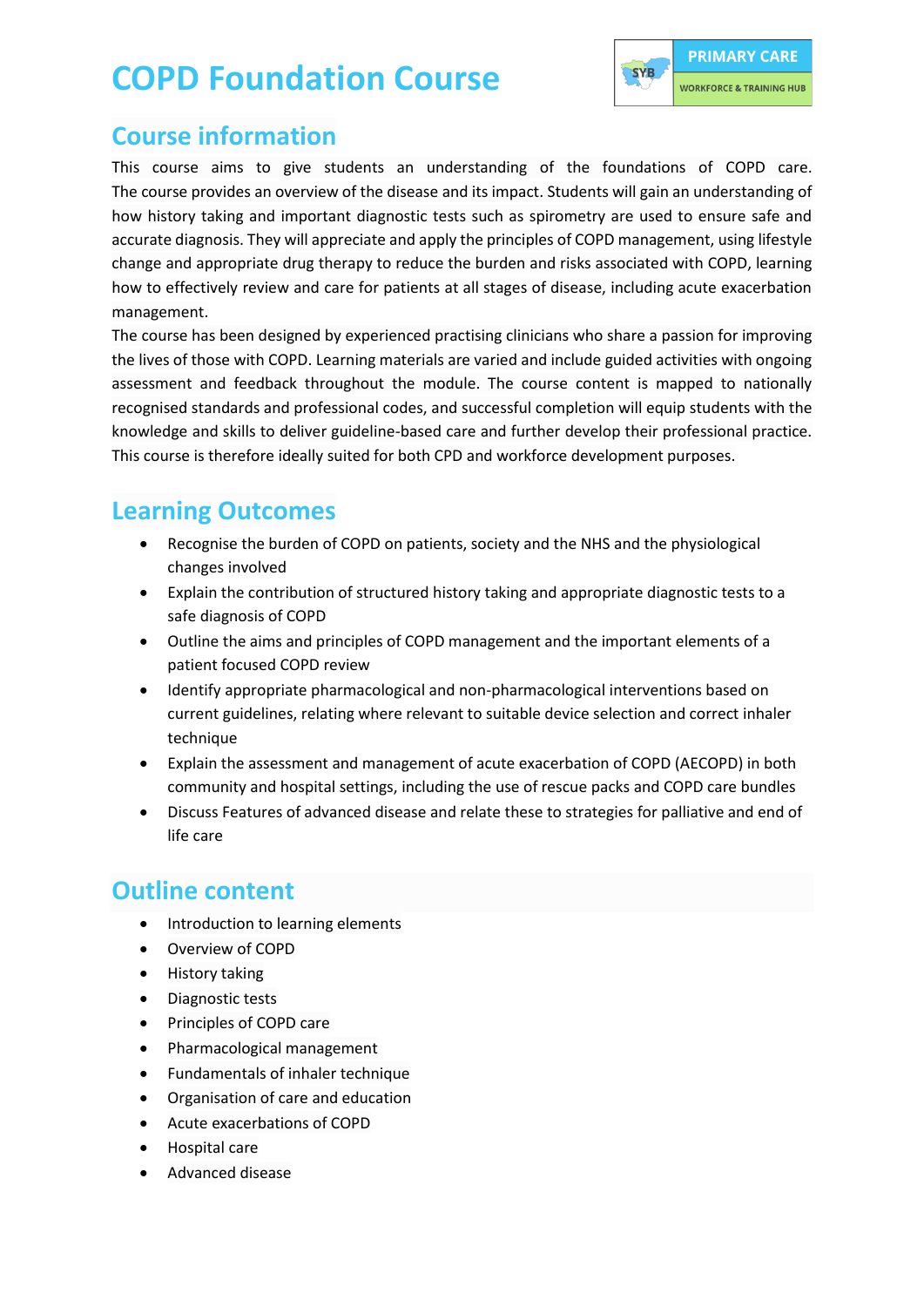## **COPD Foundation Course**



#### **Course information**

This course aims to give students an understanding of the foundations of COPD care. The course provides an overview of the disease and its impact. Students will gain an understanding of how history taking and important diagnostic tests such as spirometry are used to ensure safe and accurate diagnosis. They will appreciate and apply the principles of COPD management, using lifestyle change and appropriate drug therapy to reduce the burden and risks associated with COPD, learning how to effectively review and care for patients at all stages of disease, including acute exacerbation management.

The course has been designed by experienced practising clinicians who share a passion for improving the lives of those with COPD. Learning materials are varied and include guided activities with ongoing assessment and feedback throughout the module. The course content is mapped to nationally recognised standards and professional codes, and successful completion will equip students with the knowledge and skills to deliver guideline-based care and further develop their professional practice. This course is therefore ideally suited for both CPD and workforce development purposes.

#### **Learning Outcomes**

- Recognise the burden of COPD on patients, society and the NHS and the physiological changes involved
- Explain the contribution of structured history taking and appropriate diagnostic tests to a safe diagnosis of COPD
- Outline the aims and principles of COPD management and the important elements of a patient focused COPD review
- Identify appropriate pharmacological and non-pharmacological interventions based on current guidelines, relating where relevant to suitable device selection and correct inhaler technique
- Explain the assessment and management of acute exacerbation of COPD (AECOPD) in both community and hospital settings, including the use of rescue packs and COPD care bundles
- Discuss Features of advanced disease and relate these to strategies for palliative and end of life care

#### **Outline content**

- Introduction to learning elements
- Overview of COPD
- History taking
- Diagnostic tests
- Principles of COPD care
- Pharmacological management
- Fundamentals of inhaler technique
- Organisation of care and education
- Acute exacerbations of COPD
- Hospital care
- Advanced disease